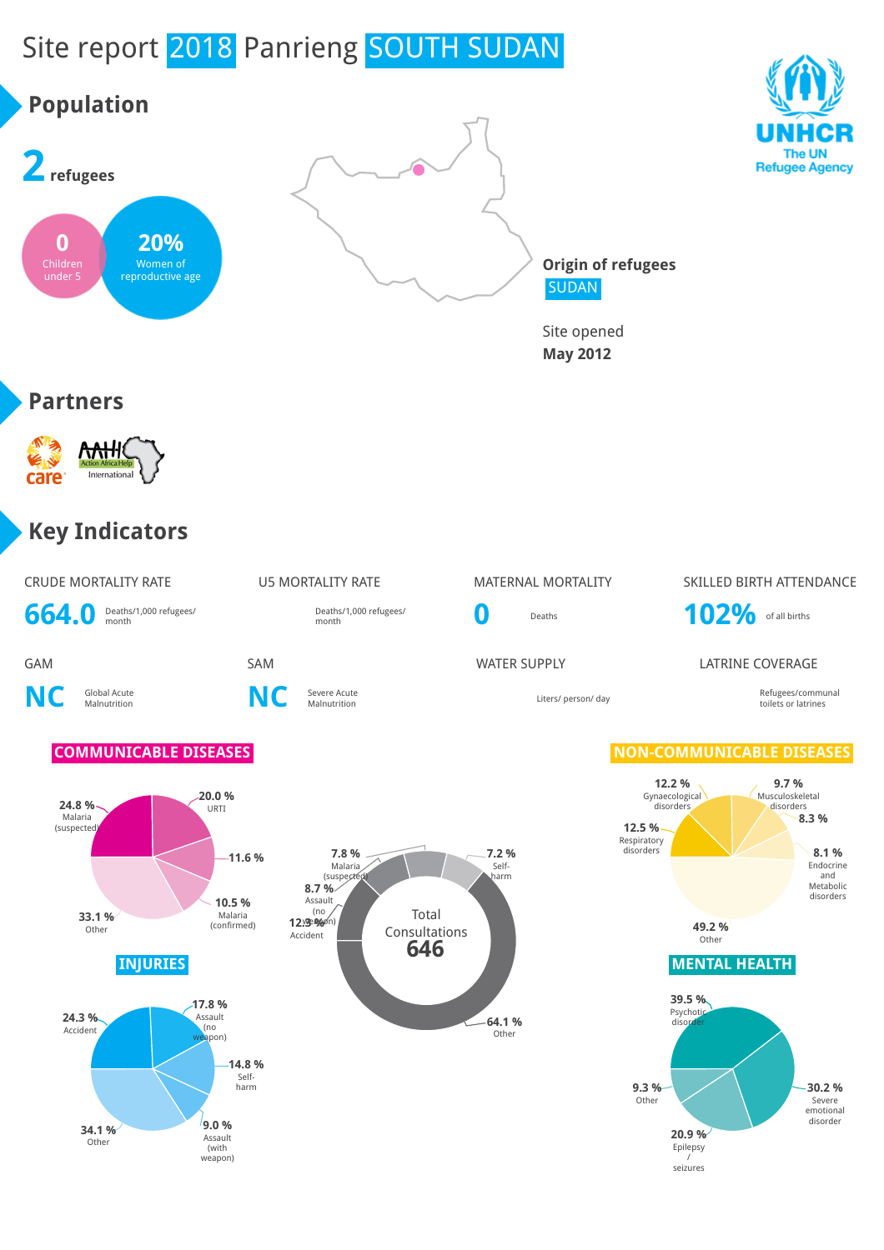# Site report 2018 Panrieng SOUTH SUDAN

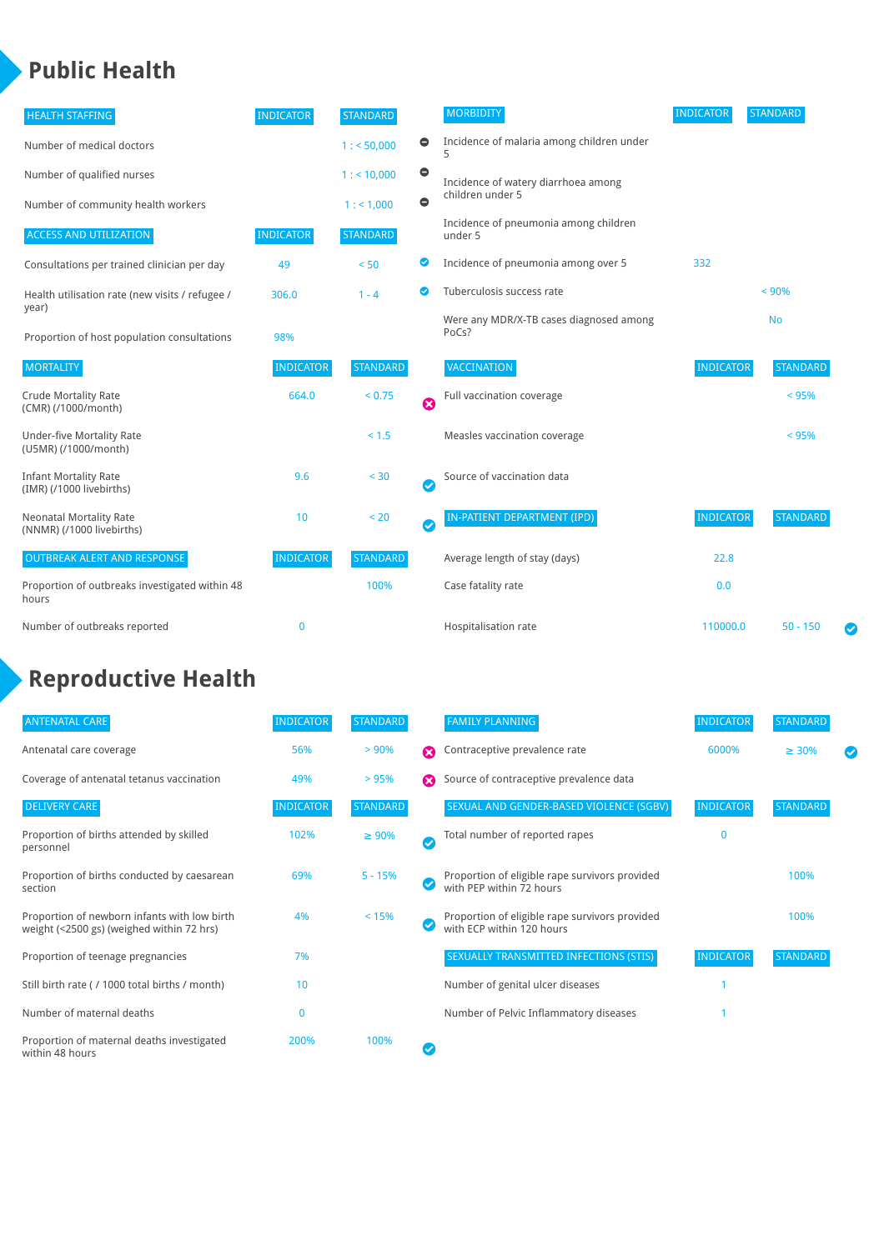### **Public Health**

| <b>HEALTH STAFFING</b>                                      | <b>INDICATOR</b> | <b>STANDARD</b> |                            | <b>MORBIDITY</b>                                 | <b>INDICATOR</b> | <b>STANDARD</b> |
|-------------------------------------------------------------|------------------|-----------------|----------------------------|--------------------------------------------------|------------------|-----------------|
| Number of medical doctors                                   |                  | 1: 50,000       | $\bullet$                  | Incidence of malaria among children under        |                  |                 |
| Number of qualified nurses                                  |                  | 1:10,000        | $\bullet$                  | Incidence of watery diarrhoea among              |                  |                 |
| Number of community health workers                          |                  | 1: 1,000        | $\bullet$                  | children under 5                                 |                  |                 |
| <b>ACCESS AND UTILIZATION</b>                               | <b>INDICATOR</b> | <b>STANDARD</b> |                            | Incidence of pneumonia among children<br>under 5 |                  |                 |
| Consultations per trained clinician per day                 | 49               | < 50            | ◙                          | Incidence of pneumonia among over 5              | 332              |                 |
| Health utilisation rate (new visits / refugee /             | 306.0            | $1 - 4$         | $\bullet$                  | Tuberculosis success rate                        |                  | < 90%           |
| year)<br>Proportion of host population consultations        | 98%              |                 |                            | Were any MDR/X-TB cases diagnosed among<br>PoCs? |                  | <b>No</b>       |
| <b>MORTALITY</b>                                            | <b>INDICATOR</b> | <b>STANDARD</b> |                            | VACCINATION                                      | <b>INDICATOR</b> | <b>STANDARD</b> |
| <b>Crude Mortality Rate</b><br>(CMR) (/1000/month)          | 664.0            | < 0.75          | $\boldsymbol{\Omega}$      | Full vaccination coverage                        |                  | < 95%           |
| <b>Under-five Mortality Rate</b><br>(U5MR) (/1000/month)    |                  | < 1.5           |                            | Measles vaccination coverage                     |                  | < 95%           |
| <b>Infant Mortality Rate</b><br>(IMR) (/1000 livebirths)    | 9.6              | < 30            | $\boldsymbol{\mathcal{S}}$ | Source of vaccination data                       |                  |                 |
| <b>Neonatal Mortality Rate</b><br>(NNMR) (/1000 livebirths) | 10               | < 20            | $\boldsymbol{\mathcal{S}}$ | IN-PATIENT DEPARTMENT (IPD)                      | <b>INDICATOR</b> | <b>STANDARD</b> |
| <b>OUTBREAK ALERT AND RESPONSE</b>                          | <b>INDICATOR</b> | <b>STANDARD</b> |                            | Average length of stay (days)                    | 22.8             |                 |
| Proportion of outbreaks investigated within 48<br>hours     |                  | 100%            |                            | Case fatality rate                               | 0.0              |                 |
| Number of outbreaks reported                                | $\mathbf 0$      |                 |                            | Hospitalisation rate                             | 110000.0         | $50 - 150$<br>Ø |

### **Reproductive Health**

| <b>ANTENATAL CARE</b>                                                                     | <b>INDICATOR</b> | <b>STANDARD</b> |                       | <b>FAMILY PLANNING</b>                                                      | <b>INDICATOR</b> | <b>STANDARD</b> |  |
|-------------------------------------------------------------------------------------------|------------------|-----------------|-----------------------|-----------------------------------------------------------------------------|------------------|-----------------|--|
| Antenatal care coverage                                                                   | 56%              | > 90%           | $\boldsymbol{\Omega}$ | Contraceptive prevalence rate                                               | 6000%            | $\geq 30\%$     |  |
| Coverage of antenatal tetanus vaccination                                                 | 49%              | > 95%           | Ω                     | Source of contraceptive prevalence data                                     |                  |                 |  |
| <b>DELIVERY CARE</b>                                                                      | <b>INDICATOR</b> | <b>STANDARD</b> |                       | SEXUAL AND GENDER-BASED VIOLENCE (SGBV)                                     | <b>INDICATOR</b> | <b>STANDARD</b> |  |
| Proportion of births attended by skilled<br>personnel                                     | 102%             | $\geq 90\%$     | Ø                     | Total number of reported rapes                                              | 0                |                 |  |
| Proportion of births conducted by caesarean<br>section                                    | 69%              | $5 - 15%$       |                       | Proportion of eligible rape survivors provided<br>with PEP within 72 hours  |                  | 100%            |  |
| Proportion of newborn infants with low birth<br>weight (<2500 gs) (weighed within 72 hrs) | 4%               | < 15%           |                       | Proportion of eligible rape survivors provided<br>with ECP within 120 hours |                  | 100%            |  |
| Proportion of teenage pregnancies                                                         | 7%               |                 |                       | SEXUALLY TRANSMITTED INFECTIONS (STIS)                                      | <b>INDICATOR</b> | STANDARD        |  |
| Still birth rate (/ 1000 total births / month)                                            | 10               |                 |                       | Number of genital ulcer diseases                                            |                  |                 |  |
| Number of maternal deaths                                                                 | $\overline{0}$   |                 |                       | Number of Pelvic Inflammatory diseases                                      |                  |                 |  |
| Proportion of maternal deaths investigated<br>within 48 hours                             | 200%             | 100%            |                       |                                                                             |                  |                 |  |